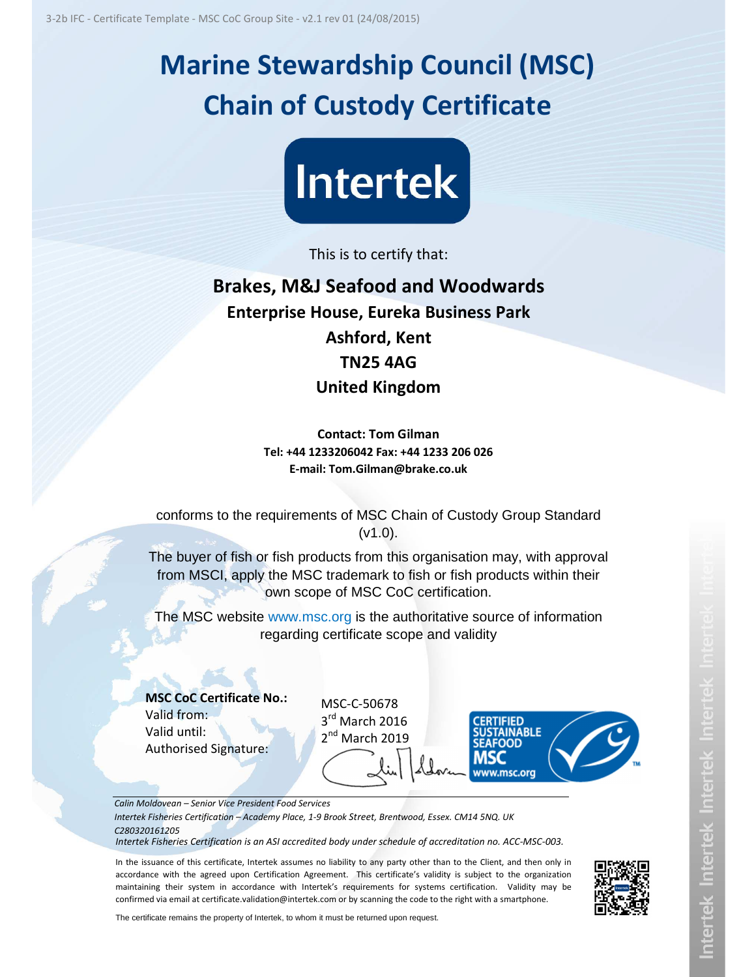## **Marine Stewardship Council (MSC) Chain of Custody Certificate**



This is to certify that:

## **Brakes, M&J Seafood and Woodwards Enterprise House, Eureka Business Park Ashford, Kent TN25 4AG United Kingdom**

**Contact: Tom Gilman Tel: +44 1233206042 Fax: +44 1233 206 026 E-mail: Tom.Gilman@brake.co.uk**

conforms to the requirements of MSC Chain of Custody Group Standard (v1.0).

The buyer of fish or fish products from this organisation may, with approval from MSCI, apply the MSC trademark to fish or fish products within their own scope of MSC CoC certification.

The MSC website www.msc.org is the authoritative source of information regarding certificate scope and validity

**MSC CoC Certificate No.:**  Valid from: Valid until: Authorised Signature:

MSC-C-50678 3<sup>rd</sup> March 2016 2<sup>nd</sup> March 2019



*Calin Moldovean – Senior Vice President Food Services* 

*Intertek Fisheries Certification – Academy Place, 1-9 Brook Street, Brentwood, Essex. CM14 5NQ. UK C280320161205*

*Intertek Fisheries Certification is an ASI accredited body under schedule of accreditation no. ACC-MSC-003.* 

In the issuance of this certificate, Intertek assumes no liability to any party other than to the Client, and then only in accordance with the agreed upon Certification Agreement. This certificate's validity is subject to the organization maintaining their system in accordance with Intertek's requirements for systems certification. Validity may be confirmed via email at certificate.validation@intertek.com or by scanning the code to the right with a smartphone.



The certificate remains the property of Intertek, to whom it must be returned upon request.